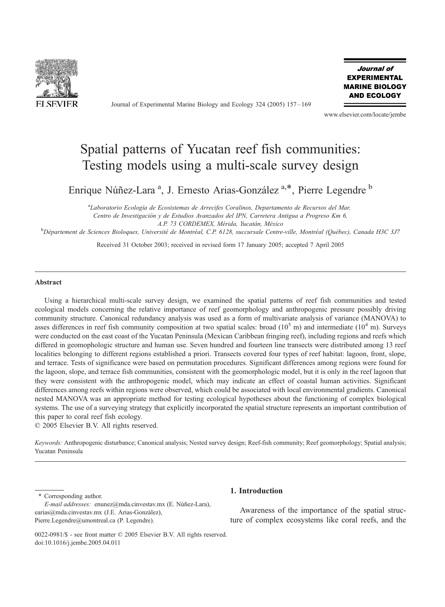

Journal of Experimental Marine Biology and Ecology 324 (2005) 157 – 169

Journal of **EXPERIMENTAL MARINE BIOLOGY AND ECOLOGY** 

www.elsevier.com/locate/jembe

# Spatial patterns of Yucatan reef fish communities: Testing models using a multi-scale survey design

Enrique Núñez-Lara<sup>a</sup>, J. Ernesto Arias-González<sup>a,\*</sup>, Pierre Legendre<sup>b</sup>

<sup>a</sup>Laboratorio Ecología de Ecosistemas de Arrecifes Coralinos, Departamento de Recursos del Mar, Centro de Investigación y de Estudios Avanzados del IPN, Carretera Antigua a Progreso Km 6, A.P. 73 CORDEMEX, Mérida, Yucatán, México

<sup>b</sup> Département de Sciences Bioloques, Université de Montréal, C.P. 6128, succursale Centre-ville, Montréal (Québec), Canada H3C 3J7

Received 31 October 2003; received in revised form 17 January 2005; accepted 7 April 2005

#### Abstract

Using a hierarchical multi-scale survey design, we examined the spatial patterns of reef fish communities and tested ecological models concerning the relative importance of reef geomorphology and anthropogenic pressure possibly driving community structure. Canonical redundancy analysis was used as a form of multivariate analysis of variance (MANOVA) to asses differences in reef fish community composition at two spatial scales: broad  $(10^5 \text{ m})$  and intermediate  $(10^4 \text{ m})$ . Surveys were conducted on the east coast of the Yucatan Peninsula (Mexican Caribbean fringing reef), including regions and reefs which differed in geomophologic structure and human use. Seven hundred and fourteen line transects were distributed among 13 reef localities belonging to different regions established a priori. Transects covered four types of reef habitat: lagoon, front, slope, and terrace. Tests of significance were based on permutation procedures. Significant differences among regions were found for the lagoon, slope, and terrace fish communities, consistent with the geomorphologic model, but it is only in the reef lagoon that they were consistent with the anthropogenic model, which may indicate an effect of coastal human activities. Significant differences among reefs within regions were observed, which could be associated with local environmental gradients. Canonical nested MANOVA was an appropriate method for testing ecological hypotheses about the functioning of complex biological systems. The use of a surveying strategy that explicitly incorporated the spatial structure represents an important contribution of this paper to coral reef fish ecology.

 $© 2005 Elsevier B.V. All rights reserved.$ 

Keywords: Anthropogenic disturbance; Canonical analysis; Nested survey design; Reef-fish community; Reef geomorphology; Spatial analysis; Yucatan Peninsula

\* Corresponding author.

E-mail addresses: enunez@mda.cinvestav.mx (E. Núñez-Lara), earias@mda.cinvestav.mx (J.E. Arias-González), Pierre.Legendre@umontreal.ca (P. Legendre).

## 1. Introduction

Awareness of the importance of the spatial structure of complex ecosystems like coral reefs, and the

<sup>0022-0981/\$ -</sup> see front matter  $\odot$  2005 Elsevier B.V. All rights reserved. doi:10.1016/j.jembe.2005.04.011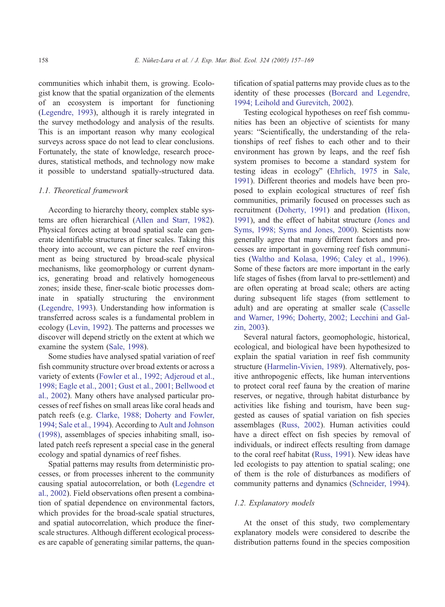communities which inhabit them, is growing. Ecologist know that the spatial organization of the elements of an ecosystem is important for functioning ([Legendre, 1993\)](#page-12-0), although it is rarely integrated in the survey methodology and analysis of the results. This is an important reason why many ecological surveys across space do not lead to clear conclusions. Fortunately, the state of knowledge, research procedures, statistical methods, and technology now make it possible to understand spatially-structured data.

# 1.1. Theoretical framework

According to hierarchy theory, complex stable systems are often hierarchical ([Allen and Starr, 1982\)](#page-11-0). Physical forces acting at broad spatial scale can generate identifiable structures at finer scales. Taking this theory into account, we can picture the reef environment as being structured by broad-scale physical mechanisms, like geomorphology or current dynamics, generating broad and relatively homogeneous zones; inside these, finer-scale biotic processes dominate in spatially structuring the environment ([Legendre, 1993\)](#page-12-0). Understanding how information is transferred across scales is a fundamental problem in ecology ([Levin, 1992\)](#page-12-0). The patterns and processes we discover will depend strictly on the extent at which we examine the system ([Sale, 1998\)](#page-12-0).

Some studies have analysed spatial variation of reef fish community structure over broad extents or across a variety of extents ([Fowler et al., 1992; Adjeroud et al.,](#page-11-0) 1998; Eagle et al., 2001; Gust et al., 2001; Bellwood et al., 2002). Many others have analysed particular processes of reef fishes on small areas like coral heads and patch reefs (e.g. [Clarke, 1988; Doherty and Fowler,](#page-11-0) 1994; Sale et al., 1994). According to [Ault and Johnson](#page-11-0) (1998), assemblages of species inhabiting small, isolated patch reefs represent a special case in the general ecology and spatial dynamics of reef fishes.

Spatial patterns may results from deterministic processes, or from processes inherent to the community causing spatial autocorrelation, or both ([Legendre et](#page-12-0) al., 2002). Field observations often present a combination of spatial dependence on environmental factors, which provides for the broad-scale spatial structures, and spatial autocorrelation, which produce the finerscale structures. Although different ecological processes are capable of generating similar patterns, the quantification of spatial patterns may provide clues as to the identity of these processes ([Borcard and Legendre,](#page-11-0) 1994; Leihold and Gurevitch, 2002).

Testing ecological hypotheses on reef fish communities has been an objective of scientists for many years: "Scientifically, the understanding of the relationships of reef fishes to each other and to their environment has grown by leaps, and the reef fish system promises to become a standard system for testing ideas in ecology" ([Ehrlich, 1975](#page-11-0) in [Sale,](#page-12-0) 1991). Different theories and models have been proposed to explain ecological structures of reef fish communities, primarily focused on processes such as recruitment ([Doherty, 1991\)](#page-11-0) and predation ([Hixon,](#page-12-0) 1991), and the effect of habitat structure ([Jones and](#page-12-0) Syms, 1998; Syms and Jones, 2000). Scientists now generally agree that many different factors and processes are important in governing reef fish communities ([Waltho and Kolasa, 1996; Caley et al., 1996\)](#page-12-0). Some of these factors are more important in the early life stages of fishes (from larval to pre-settlement) and are often operating at broad scale; others are acting during subsequent life stages (from settlement to adult) and are operating at smaller scale ([Casselle](#page-11-0) and Warner, 1996; Doherty, 2002; Lecchini and Galzin, 2003).

Several natural factors, geomophologic, historical, ecological, and biological have been hypothesized to explain the spatial variation in reef fish community structure ([Harmelin-Vivien, 1989\)](#page-12-0). Alternatively, positive anthropogenic effects, like human interventions to protect coral reef fauna by the creation of marine reserves, or negative, through habitat disturbance by activities like fishing and tourism, have been suggested as causes of spatial variation on fish species assemblages ([Russ, 2002\)](#page-12-0). Human activities could have a direct effect on fish species by removal of individuals, or indirect effects resulting from damage to the coral reef habitat ([Russ, 1991\)](#page-12-0). New ideas have led ecologists to pay attention to spatial scaling; one of them is the role of disturbances as modifiers of community patterns and dynamics ([Schneider, 1994\)](#page-12-0).

## 1.2. Explanatory models

At the onset of this study, two complementary explanatory models were considered to describe the distribution patterns found in the species composition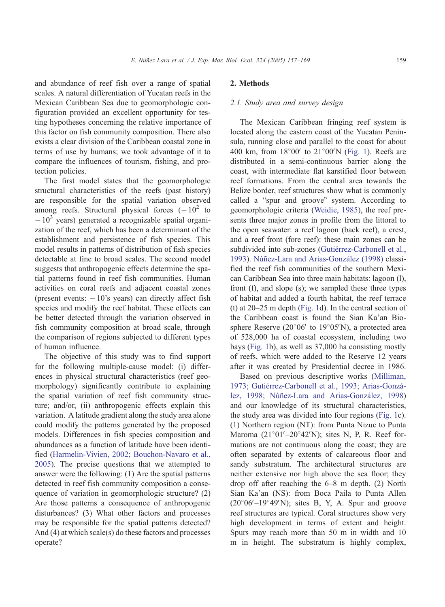and abundance of reef fish over a range of spatial scales. A natural differentiation of Yucatan reefs in the Mexican Caribbean Sea due to geomorphologic configuration provided an excellent opportunity for testing hypotheses concerning the relative importance of this factor on fish community composition. There also exists a clear division of the Caribbean coastal zone in terms of use by humans; we took advantage of it to compare the influences of tourism, fishing, and protection policies.

The first model states that the geomorphologic structural characteristics of the reefs (past history) are responsible for the spatial variation observed among reefs. Structural physical forces  $(-10^2$  to  $-10<sup>3</sup>$  years) generated a recognizable spatial organization of the reef, which has been a determinant of the establishment and persistence of fish species. This model results in patterns of distribution of fish species detectable at fine to broad scales. The second model suggests that anthropogenic effects determine the spatial patterns found in reef fish communities. Human activities on coral reefs and adjacent coastal zones (present events:  $-10$ 's years) can directly affect fish species and modify the reef habitat. These effects can be better detected through the variation observed in fish community composition at broad scale, through the comparison of regions subjected to different types of human influence.

The objective of this study was to find support for the following multiple-cause model: (i) differences in physical structural characteristics (reef geomorphology) significantly contribute to explaining the spatial variation of reef fish community structure; and/or, (ii) anthropogenic effects explain this variation. A latitude gradient along the study area alone could modify the patterns generated by the proposed models. Differences in fish species composition and abundances as a function of latitude have been identified ([Harmelin-Vivien, 2002; Bouchon-Navaro et al.,](#page-12-0) 2005). The precise questions that we attempted to answer were the following: (1) Are the spatial patterns detected in reef fish community composition a consequence of variation in geomorphologic structure? (2) Are those patterns a consequence of anthropogenic disturbances? (3) What other factors and processes may be responsible for the spatial patterns detected? And (4) at which scale(s) do these factors and processes operate?

# 2. Methods

# 2.1. Study area and survey design

The Mexican Caribbean fringing reef system is located along the eastern coast of the Yucatan Peninsula, running close and parallel to the coast for about 400 km, from  $18^{\circ}00'$  to  $21^{\circ}00'$  ([Fig. 1\)](#page-3-0). Reefs are distributed in a semi-continuous barrier along the coast, with intermediate flat karstified floor between reef formations. From the central area towards the Belize border, reef structures show what is commonly called a "spur and groove" system. According to geomorphologic criteria ([Weidie, 1985\)](#page-12-0), the reef presents three major zones in profile from the littoral to the open seawater: a reef lagoon (back reef), a crest, and a reef front (fore reef): these main zones can be subdivided into sub-zones (Gutiérrez-Carbonell et al., 1993). Núñez-Lara and Arias-González (1998) classified the reef fish communities of the southern Mexican Caribbean Sea into three main habitats: lagoon (l), front (f), and slope (s); we sampled these three types of habitat and added a fourth habitat, the reef terrace (t) at 20–25 m depth ([Fig. 1d](#page-3-0)). In the central section of the Caribbean coast is found the Sian Ka'an Biosphere Reserve ( $20^{\circ}06'$  to  $19^{\circ}05'$ N), a protected area of 528,000 ha of coastal ecosystem, including two bays ([Fig. 1b](#page-3-0)), as well as 37,000 ha consisting mostly of reefs, which were added to the Reserve 12 years after it was created by Presidential decree in 1986.

Based on previous descriptive works ([Milliman,](#page-12-0) 1973; Gutiérrez-Carbonell et al., 1993; Arias-González, 1998; Núñez-Lara and Arias-González, 1998) and our knowledge of its structural characteristics, the study area was divided into four regions ([Fig. 1c](#page-3-0)). (1) Northern region (NT): from Punta Nizuc to Punta Maroma  $(21^{\circ}01'-20^{\circ}42'N)$ ; sites N, P, R. Reef formations are not continuous along the coast; they are often separated by extents of calcareous floor and sandy substratum. The architectural structures are neither extensive nor high above the sea floor; they drop off after reaching the 6–8 m depth. (2) North Sian Ka'an (NS): from Boca Paila to Punta Allen  $(20^{\circ}06'-19^{\circ}49'N)$ ; sites B, Y, A. Spur and groove reef structures are typical. Coral structures show very high development in terms of extent and height. Spurs may reach more than 50 m in width and 10 m in height. The substratum is highly complex,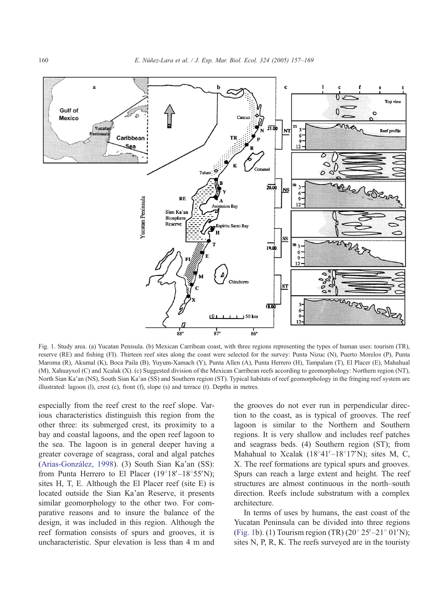<span id="page-3-0"></span>

Fig. 1. Study area. (a) Yucatan Penisula. (b) Mexican Carribean coast, with three regions representing the types of human uses: tourism (TR), reserve (RE) and fishing (FI). Thirteen reef sites along the coast were selected for the survey: Punta Nizuc (N), Puerto Morelos (P), Punta Maroma (R), Akumal (K), Boca Paila (B), Yuyum-Xamach (Y), Punta Allen (A), Punta Herrero (H), Tampalam (T), El Placer (E), Mahahual (M), Xahuayxol (C) and Xcalak (X). (c) Suggested division of the Mexican Carribean reefs according to geomorphology: Northern region (NT), North Sian Ka'an (NS), South Sian Ka'an (SS) and Southern region (ST). Typical habitats of reef geomorphology in the fringing reef system are illustrated: lagoon (l), crest (c), front (f), slope (s) and terrace (t). Depths in metres.

especially from the reef crest to the reef slope. Various characteristics distinguish this region from the other three: its submerged crest, its proximity to a bay and coastal lagoons, and the open reef lagoon to the sea. The lagoon is in general deeper having a greater coverage of seagrass, coral and algal patches (Arias-González, 1998). (3) South Sian Ka'an (SS): from Punta Herrero to El Placer  $(19^{\circ}18' - 18^{\circ}55'N)$ ; sites H, T, E. Although the El Placer reef (site E) is located outside the Sian Ka'an Reserve, it presents similar geomorphology to the other two. For comparative reasons and to insure the balance of the design, it was included in this region. Although the reef formation consists of spurs and grooves, it is uncharacteristic. Spur elevation is less than 4 m and the grooves do not ever run in perpendicular direction to the coast, as is typical of grooves. The reef lagoon is similar to the Northern and Southern regions. It is very shallow and includes reef patches and seagrass beds. (4) Southern region (ST); from Mahahual to Xcalak ( $18^{\circ}41'$ – $18^{\circ}17'N$ ); sites M, C, X. The reef formations are typical spurs and grooves. Spurs can reach a large extent and height. The reef structures are almost continuous in the north–south direction. Reefs include substratum with a complex architecture.

In terms of uses by humans, the east coast of the Yucatan Peninsula can be divided into three regions (Fig. 1b). (1) Tourism region (TR)  $(20^{\circ} 25' - 21^{\circ} 01'N)$ ; sites N, P, R, K. The reefs surveyed are in the touristy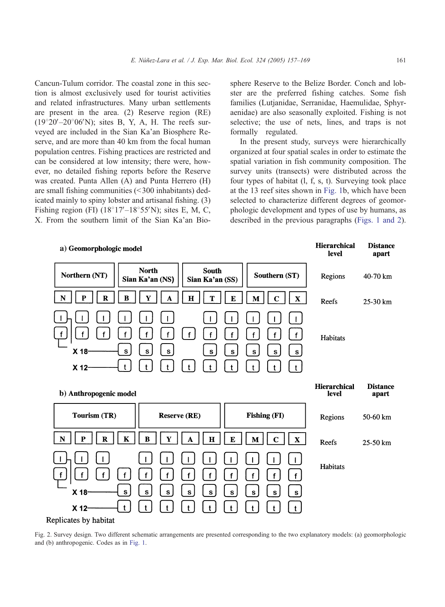<span id="page-4-0"></span>Cancun-Tulum corridor. The coastal zone in this section is almost exclusively used for tourist activities and related infrastructures. Many urban settlements are present in the area. (2) Reserve region (RE)  $(19^{\circ}20^{\prime}-20^{\circ}06^{\prime}N)$ ; sites B, Y, A, H. The reefs surveyed are included in the Sian Ka'an Biosphere Reserve, and are more than 40 km from the focal human population centres. Fishing practices are restricted and can be considered at low intensity; there were, however, no detailed fishing reports before the Reserve was created. Punta Allen (A) and Punta Herrero (H) are small fishing communities  $( $300$  inhabitants) ded$ icated mainly to spiny lobster and artisanal fishing. (3) Fishing region (FI)  $(18^{\circ}17' - 18^{\circ}55'N)$ ; sites E, M, C, X. From the southern limit of the Sian Ka'an Biosphere Reserve to the Belize Border. Conch and lobster are the preferred fishing catches. Some fish families (Lutjanidae, Serranidae, Haemulidae, Sphyraenidae) are also seasonally exploited. Fishing is not selective; the use of nets, lines, and traps is not formally regulated.

In the present study, surveys were hierarchically organized at four spatial scales in order to estimate the spatial variation in fish community composition. The survey units (transects) were distributed across the four types of habitat (l, f, s, t). Surveying took place at the 13 reef sites shown in [Fig. 1b](#page-3-0), which have been selected to characterize different degrees of geomorphologic development and types of use by humans, as described in the previous paragraphs ([Figs. 1 and 2\)](#page-3-0).



Fig. 2. Survey design. Two different schematic arrangements are presented corresponding to the two explanatory models: (a) geomorphologic and (b) anthropogenic. Codes as in [Fig. 1.](#page-3-0)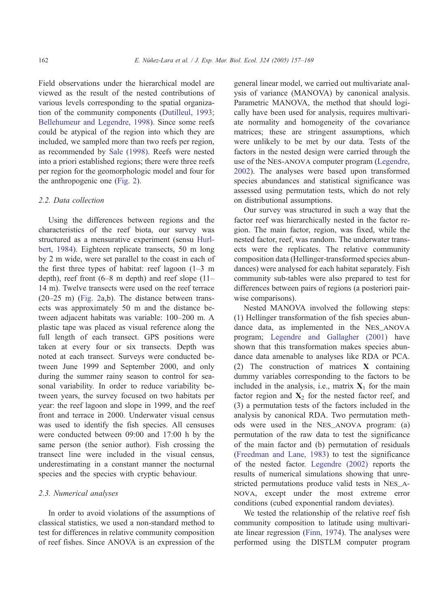Field observations under the hierarchical model are viewed as the result of the nested contributions of various levels corresponding to the spatial organization of the community components ([Dutilleul, 1993;](#page-11-0) Bellehumeur and Legendre, 1998). Since some reefs could be atypical of the region into which they are included, we sampled more than two reefs per region, as recommended by [Sale \(1998\).](#page-12-0) Reefs were nested into a priori established regions; there were three reefs per region for the geomorphologic model and four for the anthropogenic one ([Fig. 2\)](#page-4-0).

## 2.2. Data collection

Using the differences between regions and the characteristics of the reef biota, our survey was structured as a mensurative experiment (sensu [Hurl](#page-12-0)bert, 1984). Eighteen replicate transects, 50 m long by 2 m wide, were set parallel to the coast in each of the first three types of habitat: reef lagoon  $(1-3 \text{ m})$ depth), reef front (6–8 m depth) and reef slope (11– 14 m). Twelve transects were used on the reef terrace (20–25 m) ([Fig. 2a](#page-4-0),b). The distance between transects was approximately 50 m and the distance between adjacent habitats was variable: 100–200 m. A plastic tape was placed as visual reference along the full length of each transect. GPS positions were taken at every four or six transects. Depth was noted at each transect. Surveys were conducted between June 1999 and September 2000, and only during the summer rainy season to control for seasonal variability. In order to reduce variability between years, the survey focused on two habitats per year: the reef lagoon and slope in 1999, and the reef front and terrace in 2000. Underwater visual census was used to identify the fish species. All censuses were conducted between 09:00 and 17:00 h by the same person (the senior author). Fish crossing the transect line were included in the visual census, underestimating in a constant manner the nocturnal species and the species with cryptic behaviour.

## 2.3. Numerical analyses

In order to avoid violations of the assumptions of classical statistics, we used a non-standard method to test for differences in relative community composition of reef fishes. Since ANOVA is an expression of the

general linear model, we carried out multivariate analysis of variance (MANOVA) by canonical analysis. Parametric MANOVA, the method that should logically have been used for analysis, requires multivariate normality and homogeneity of the covariance matrices; these are stringent assumptions, which were unlikely to be met by our data. Tests of the factors in the nested design were carried through the use of the Nes-anova computer program ([Legendre,](#page-12-0) 2002). The analyses were based upon transformed species abundances and statistical significance was assessed using permutation tests, which do not rely on distributional assumptions.

Our survey was structured in such a way that the factor reef was hierarchically nested in the factor region. The main factor, region, was fixed, while the nested factor, reef, was random. The underwater transects were the replicates. The relative community composition data (Hellinger-transformed species abundances) were analysed for each habitat separately. Fish community sub-tables were also prepared to test for differences between pairs of regions (a posteriori pairwise comparisons).

Nested MANOVA involved the following steps: (1) Hellinger transformation of the fish species abundance data, as implemented in the NES\_ANOVA program; [Legendre and Gallagher \(2001\)](#page-12-0) have shown that this transformation makes species abundance data amenable to analyses like RDA or PCA. (2) The construction of matrices X containing dummy variables corresponding to the factors to be included in the analysis, i.e., matrix  $X_1$  for the main factor region and  $X_2$  for the nested factor reef, and (3) a permutation tests of the factors included in the analysis by canonical RDA. Two permutation methods were used in the Nes\_anova program: (a) permutation of the raw data to test the significance of the main factor and (b) permutation of residuals ([Freedman and Lane, 1983\)](#page-11-0) to test the significance of the nested factor. [Legendre \(2002\)](#page-12-0) reports the results of numerical simulations showing that unrestricted permutations produce valid tests in Nes\_anova, except under the most extreme error conditions (cubed exponential random deviates).

We tested the relationship of the relative reef fish community composition to latitude using multivariate linear regression ([Finn, 1974\)](#page-11-0). The analyses were performed using the DISTLM computer program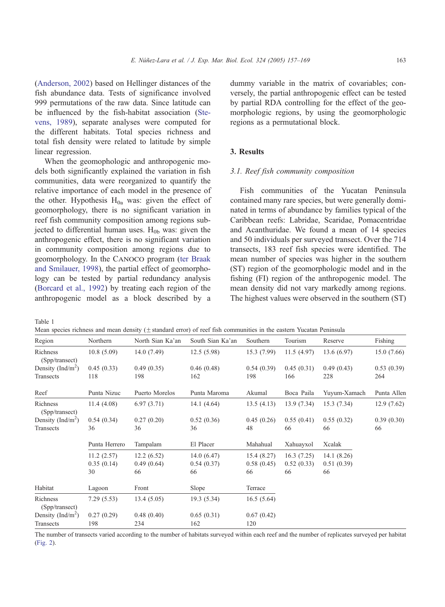<span id="page-6-0"></span>([Anderson, 2002\)](#page-11-0) based on Hellinger distances of the fish abundance data. Tests of significance involved 999 permutations of the raw data. Since latitude can be influenced by the fish-habitat association ([Ste](#page-12-0)vens, 1989), separate analyses were computed for the different habitats. Total species richness and total fish density were related to latitude by simple linear regression.

When the geomophologic and anthropogenic models both significantly explained the variation in fish communities, data were reorganized to quantify the relative importance of each model in the presence of the other. Hypothesis  $H_{0a}$  was: given the effect of geomorphology, there is no significant variation in reef fish community composition among regions subjected to differential human uses.  $H<sub>0b</sub>$  was: given the anthropogenic effect, there is no significant variation in community composition among regions due to geomorphology. In the Canoco program ([ter Braak](#page-12-0) and Smilauer, 1998), the partial effect of geomorphology can be tested by partial redundancy analysis ([Borcard et al., 1992\)](#page-11-0) by treating each region of the anthropogenic model as a block described by a

dummy variable in the matrix of covariables; conversely, the partial anthropogenic effect can be tested by partial RDA controlling for the effect of the geomorphologic regions, by using the geomorphologic regions as a permutational block.

# 3. Results

#### 3.1. Reef fish community composition

Fish communities of the Yucatan Peninsula contained many rare species, but were generally dominated in terms of abundance by families typical of the Caribbean reefs: Labridae, Scaridae, Pomacentridae and Acanthuridae. We found a mean of 14 species and 50 individuals per surveyed transect. Over the 714 transects, 183 reef fish species were identified. The mean number of species was higher in the southern (ST) region of the geomorphologic model and in the fishing (FI) region of the anthropogenic model. The mean density did not vary markedly among regions. The highest values were observed in the southern (ST)

Table 1

|  |  |  |  |  |  |  |  |  | Mean species richness and mean density $(\pm$ standard error) of reef fish communities in the eastern Yucatan Peninsula |  |  |  |  |
|--|--|--|--|--|--|--|--|--|-------------------------------------------------------------------------------------------------------------------------|--|--|--|--|
|--|--|--|--|--|--|--|--|--|-------------------------------------------------------------------------------------------------------------------------|--|--|--|--|

|                               |               | отсан species richness and mean density ( $\pm$ standard crivi) or reci rish communities in the castem Tucatan I cumsula |                  |            |            |              |             |
|-------------------------------|---------------|--------------------------------------------------------------------------------------------------------------------------|------------------|------------|------------|--------------|-------------|
| Region                        | Northern      | North Sian Ka'an                                                                                                         | South Sian Ka'an | Southern   | Tourism    | Reserve      | Fishing     |
| Richness<br>(Spp/transect)    | 10.8(5.09)    | 14.0(7.49)                                                                                                               | 12.5(5.98)       | 15.3(7.99) | 11.5(4.97) | 13.6(6.97)   | 15.0(7.66)  |
| Density (Ind/m <sup>2</sup> ) | 0.45(0.33)    | 0.49(0.35)                                                                                                               | 0.46(0.48)       | 0.54(0.39) | 0.45(0.31) | 0.49(0.43)   | 0.53(0.39)  |
| Transects                     | 118           | 198                                                                                                                      | 162              | 198        | 166        | 228          | 264         |
| Reef                          | Punta Nizuc   | Puerto Morelos                                                                                                           | Punta Maroma     | Akumal     | Boca Paila | Yuyum-Xamach | Punta Allen |
| Richness<br>(Spp/transect)    | 11.4(4.08)    | 6.97(3.71)                                                                                                               | 14.1(4.64)       | 13.5(4.13) | 13.9(7.34) | 15.3(7.34)   | 12.9(7.62)  |
| Density (Ind/m <sup>2</sup> ) | 0.54(0.34)    | 0.27(0.20)                                                                                                               | 0.52(0.36)       | 0.45(0.26) | 0.55(0.41) | 0.55(0.32)   | 0.39(0.30)  |
| Transects                     | 36            | 36                                                                                                                       | 36               | 48         | 66         | 66           | 66          |
|                               | Punta Herrero | Tampalam                                                                                                                 | El Placer        | Mahahual   | Xahuayxol  | Xcalak       |             |
|                               | 11.2(2.57)    | 12.2(6.52)                                                                                                               | 14.0(6.47)       | 15.4(8.27) | 16.3(7.25) | 14.1(8.26)   |             |
|                               | 0.35(0.14)    | 0.49(0.64)                                                                                                               | 0.54(0.37)       | 0.58(0.45) | 0.52(0.33) | 0.51(0.39)   |             |
|                               | 30            | 66                                                                                                                       | 66               | 66         | 66         | 66           |             |
| Habitat                       | Lagoon        | Front                                                                                                                    | Slope            | Terrace    |            |              |             |
| Richness<br>(Spp/transect)    | 7.29(5.53)    | 13.4(5.05)                                                                                                               | 19.3(5.34)       | 16.5(5.64) |            |              |             |
| Density (Ind/m <sup>2</sup> ) | 0.27(0.29)    | 0.48(0.40)                                                                                                               | 0.65(0.31)       | 0.67(0.42) |            |              |             |
| Transects                     | 198           | 234                                                                                                                      | 162              | 120        |            |              |             |

The number of transects varied according to the number of habitats surveyed within each reef and the number of replicates surveyed per habitat [\(Fig. 2](#page-4-0)).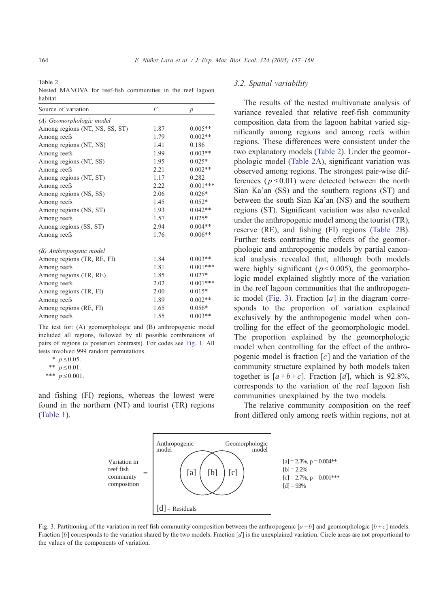<span id="page-7-0"></span>Table 2

Nested MANOVA for reef-fish communities in the reef lagoon habitat

| Source of variation            | F    | $\boldsymbol{p}$ |
|--------------------------------|------|------------------|
| (A) Geomorphologic model       |      |                  |
| Among regions (NT, NS, SS, ST) | 1.87 | $0.005**$        |
| Among reefs                    | 1.79 | $0.002**$        |
| Among regions (NT, NS)         | 1.41 | 0.186            |
| Among reefs                    | 1.99 | $0.003**$        |
| Among regions (NT, SS)         | 1.95 | $0.025*$         |
| Among reefs                    | 2.21 | $0.002**$        |
| Among regions (NT, ST)         | 1.17 | 0.282            |
| Among reefs                    | 2.22 | $0.001***$       |
| Among regions (NS, SS)         | 2.06 | $0.026*$         |
| Among reefs                    | 1.45 | $0.052*$         |
| Among regions (NS, ST)         | 1.93 | $0.042**$        |
| Among reefs                    | 1.57 | $0.025*$         |
| Among regions (SS, ST)         | 2.94 | $0.004**$        |
| Among reefs                    | 1.76 | $0.006**$        |
| (B) Anthropogenic model        |      |                  |
| Among regions (TR, RE, FI)     | 1.84 | $0.003**$        |
| Among reefs                    | 1.81 | $0.001***$       |
| Among regions (TR, RE)         | 1.85 | $0.027*$         |
| Among reefs                    | 2.02 | $0.001***$       |
| Among regions (TR, FI)         | 2.00 | $0.015*$         |
| Among reefs                    | 1.89 | $0.002**$        |
| Among regions (RE, FI)         | 1.65 | $0.056*$         |
| Among reefs                    | 1.55 | $0.003**$        |

The test for: (A) geomorphologic and (B) anthropogenic model included all regions, followed by all possible combinations of pairs of regions (a posteriori contrasts). For codes see [Fig. 1.](#page-3-0) All tests involved 999 random permutations.

and fishing (FI) regions, whereas the lowest were found in the northern (NT) and tourist (TR) regions ([Table 1\)](#page-6-0).

#### 3.2. Spatial variability

The results of the nested multivariate analysis of variance revealed that relative reef-fish community composition data from the lagoon habitat varied significantly among regions and among reefs within regions. These differences were consistent under the two explanatory models (Table 2). Under the geomorphologic model (Table 2A), significant variation was observed among regions. The strongest pair-wise differences ( $p \le 0.01$ ) were detected between the north Sian Ka'an (SS) and the southern regions (ST) and between the south Sian Ka'an (NS) and the southern regions (ST). Significant variation was also revealed under the anthropogenic model among the tourist (TR), reserve (RE), and fishing (FI) regions (Table 2B). Further tests contrasting the effects of the geomorphologic and anthropogenic models by partial canonical analysis revealed that, although both models were highly significant ( $p < 0.005$ ), the geomorphologic model explained slightly more of the variation in the reef lagoon communities that the anthropogenic model (Fig. 3). Fraction  $[a]$  in the diagram corresponds to the proportion of variation explained exclusively by the anthropogenic model when controlling for the effect of the geomorphologic model. The proportion explained by the geomorphologic model when controlling for the effect of the anthropogenic model is fraction  $[c]$  and the variation of the community structure explained by both models taken together is  $[a+b+c]$ . Fraction [d], which is 92.8%, corresponds to the variation of the reef lagoon fish communities unexplained by the two models.

The relative community composition on the reef front differed only among reefs within regions, not at



Fig. 3. Partitioning of the variation in reef fish community composition between the anthropogenic  $[a + b]$  and geomorphologic  $[b + c]$  models. Fraction  $[b]$  corresponds to the variation shared by the two models. Fraction  $[d]$  is the unexplained variation. Circle areas are not proportional to the values of the components of variation.

<sup>\*</sup>  $p \le 0.05$ .

<sup>\*\*</sup>  $p \le 0.01$ .

<sup>\*\*\*</sup>  $p \le 0.001$ .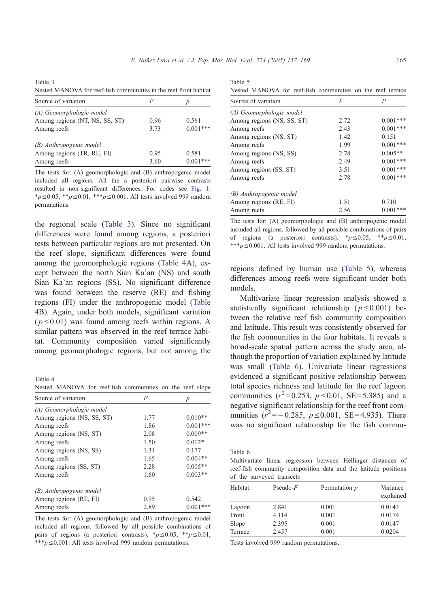<span id="page-8-0"></span>Table 3 Nested MANOVA for reef-fish communities in the reef front habitat

| Source of variation            | F    |            |
|--------------------------------|------|------------|
| (A) Geomorphologic model       |      |            |
| Among regions (NT, NS, SS, ST) | 0.96 | 0.561      |
| Among reefs                    | 3.73 | $0.001***$ |
| (B) Anthropogenic model        |      |            |
| Among regions (TR, RE, FI)     | 0.95 | 0.581      |
| Among reefs                    | 3.60 | $0.001***$ |

The tests for: (A) geomorphologic and (B) anthropogenic model included all regions. All the a posteriori pairwise contrasts resulted in non-significant differences. For codes see [Fig. 1.](#page-3-0) \* $p \le 0.05$ , \*\* $p \le 0.01$ , \*\*\* $p \le 0.001$ . All tests involved 999 random permutations.

the regional scale (Table 3). Since no significant differences were found among regions, a posteriori tests between particular regions are not presented. On the reef slope, significant differences were found among the geomorphologic regions (Table 4A), except between the north Sian Ka'an (NS) and south Sian Ka'an regions (SS). No significant difference was found between the reserve (RE) and fishing regions (FI) under the anthropogenic model (Table 4B). Again, under both models, significant variation  $(p \le 0.01)$  was found among reefs within regions. A similar pattern was observed in the reef terrace habitat. Community composition varied significantly among geomorphologic regions, but not among the

Table 4

Nested MANOVA for reef-fish communities on the reef slope

| Source of variation        | F    | p          |
|----------------------------|------|------------|
| (A) Geomorphologic model   |      |            |
| Among regions (NS, SS, ST) | 1.77 | $0.010**$  |
| Among reefs                | 1.86 | $0.001***$ |
| Among regions (NS, ST)     | 2.08 | $0.009**$  |
| Among reefs                | 1.50 | $0.012*$   |
| Among regions (NS, SS)     | 1.31 | 0.177      |
| Among reefs                | 1.65 | $0.004**$  |
| Among regions (SS, ST)     | 2.28 | $0.005**$  |
| Among reefs                | 1.60 | $0.003**$  |
| (B) Anthropogenic model    |      |            |
| Among regions (RE, FI)     | 0.95 | 0.542      |
| Among reefs                | 2.89 | $0.001***$ |

The tests for: (A) geomorphologic and (B) anthropogenic model included all regions, followed by all possible combinations of pairs of regions (a posteriori contrasts).  $\frac{*p}{0.05}$ ,  $\frac{**p}{0.01}$ , \*\*\*p  $\leq 0.001$ . All tests involved 999 random permutations.

Table 5 Nested MANOVA for reef-fish communities on the reef terrace

| Source of variation        | F    | P          |
|----------------------------|------|------------|
| (A) Geomorphologic model   |      |            |
| Among regions (NS, SS, ST) | 2.72 | $0.001***$ |
| Among reefs                | 2.43 | $0.001***$ |
| Among regions (NS, ST)     | 1.42 | 0.151      |
| Among reefs                | 1.99 | $0.001***$ |
| Among regions (NS, SS)     | 2.78 | $0.005**$  |
| Among reefs                | 2.49 | $0.001***$ |
| Among regions (SS, ST)     | 3.51 | $0.001***$ |
| Among reefs                | 2.78 | $0.001***$ |
| (B) Anthropogenic model    |      |            |
| Among regions (RE, FI)     | 1.51 | 0.710      |
| Among reefs                | 2.56 | $0.001***$ |

The tests for: (A) geomorphologic and (B) anthropogenic model included all regions, followed by all possible combinations of pairs of regions (a posteriori contrasts).  $\frac{*p}{0.05}$ ,  $\frac{**p}{0.01}$ , \*\*\* $p \le 0.001$ . All tests involved 999 random permutations.

regions defined by human use (Table 5), whereas differences among reefs were significant under both models.

Multivariate linear regression analysis showed a statistically significant relationship ( $p \le 0.001$ ) between the relative reef fish community composition and latitude. This result was consistently observed for the fish communities in the four habitats. It reveals a broad-scale spatial pattern across the study area, although the proportion of variation explained by latitude was small (Table 6). Univariate linear regressions evidenced a significant positive relationship between total species richness and latitude for the reef lagoon communities  $(r^2=0.253, p \le 0.01, SE=5.385)$  and a negative significant relationship for the reef front communities  $(r^2 = -0.285, p \le 0.001, \text{ SE} = 4.935)$ . There was no significant relationship for the fish commu-

Table 6

Multivariate linear regression between Hellinger distances of reef-fish community composition data and the latitude positions of the surveyed transects

| Habitat | $Pseudo-F$ | Permutation p | Variance<br>explained |
|---------|------------|---------------|-----------------------|
| Lagoon  | 2.841      | 0.001         | 0.0143                |
| Front   | 4.114      | 0.001         | 0.0174                |
| Slope   | 2.395      | 0.001         | 0.0147                |
| Terrace | 2.457      | 0.001         | 0.0204                |

Tests involved 999 random permutations.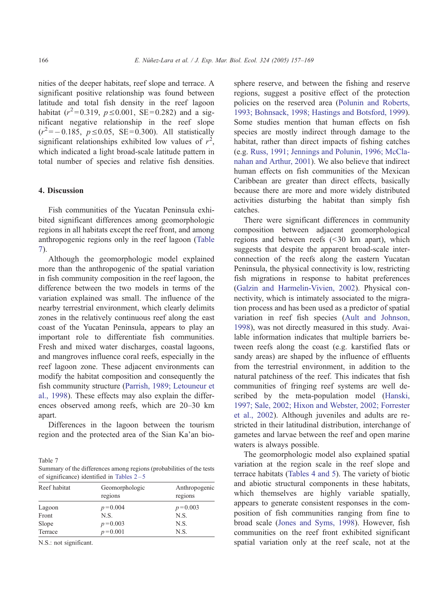nities of the deeper habitats, reef slope and terrace. A significant positive relationship was found between latitude and total fish density in the reef lagoon habitat ( $r^2 = 0.319$ ,  $p \le 0.001$ , SE = 0.282) and a significant negative relationship in the reef slope  $(r^2 = -0.185, p \le 0.05, SE = 0.300)$ . All statistically significant relationships exhibited low values of  $r^2$ , which indicated a light broad-scale latitude pattern in total number of species and relative fish densities.

## 4. Discussion

Fish communities of the Yucatan Peninsula exhibited significant differences among geomorphologic regions in all habitats except the reef front, and among anthropogenic regions only in the reef lagoon (Table 7).

Although the geomorphologic model explained more than the anthropogenic of the spatial variation in fish community composition in the reef lagoon, the difference between the two models in terms of the variation explained was small. The influence of the nearby terrestrial environment, which clearly delimits zones in the relatively continuous reef along the east coast of the Yucatan Peninsula, appears to play an important role to differentiate fish communities. Fresh and mixed water discharges, coastal lagoons, and mangroves influence coral reefs, especially in the reef lagoon zone. These adjacent environments can modify the habitat composition and consequently the fish community structure ([Parrish, 1989; Letouneur et](#page-12-0) al., 1998). These effects may also explain the differences observed among reefs, which are 20–30 km apart.

Differences in the lagoon between the tourism region and the protected area of the Sian Ka'an bio-

Table 7 Summary of the differences among regions (probabilities of the tests of significance) identified in Tables  $2-5$ 

| Geomorphologic<br>regions | Anthropogenic<br>regions |  |  |  |  |
|---------------------------|--------------------------|--|--|--|--|
| $p = 0.004$               | $p = 0.003$              |  |  |  |  |
| N.S.                      | N.S.                     |  |  |  |  |
| $p = 0.003$               | N.S.                     |  |  |  |  |
| $p = 0.001$               | N.S.                     |  |  |  |  |
|                           |                          |  |  |  |  |

N.S.: not significant.

sphere reserve, and between the fishing and reserve regions, suggest a positive effect of the protection policies on the reserved area ([Polunin and Roberts,](#page-12-0) 1993; Bohnsack, 1998; Hastings and Botsford, 1999). Some studies mention that human effects on fish species are mostly indirect through damage to the habitat, rather than direct impacts of fishing catches (e.g. [Russ, 1991; Jennings and Polunin, 1996; McCla](#page-12-0)nahan and Arthur, 2001). We also believe that indirect human effects on fish communities of the Mexican Caribbean are greater than direct effects, basically because there are more and more widely distributed activities disturbing the habitat than simply fish catches.

There were significant differences in community composition between adjacent geomorphological regions and between reefs  $( $30 \text{ km}$  apart)$ , which suggests that despite the apparent broad-scale interconnection of the reefs along the eastern Yucatan Peninsula, the physical connectivity is low, restricting fish migrations in response to habitat preferences ([Galzin and Harmelin-Vivien, 2002\)](#page-11-0). Physical connectivity, which is intimately associated to the migration process and has been used as a predictor of spatial variation in reef fish species ([Ault and Johnson,](#page-11-0) 1998), was not directly measured in this study. Available information indicates that multiple barriers between reefs along the coast (e.g. karstified flats or sandy areas) are shaped by the influence of effluents from the terrestrial environment, in addition to the natural patchiness of the reef. This indicates that fish communities of fringing reef systems are well described by the meta-population model ([Hanski,](#page-11-0) 1997; Sale, 2002; Hixon and Webster, 2002; Forrester et al., 2002). Although juveniles and adults are restricted in their latitudinal distribution, interchange of gametes and larvae between the reef and open marine waters is always possible.

The geomorphologic model also explained spatial variation at the region scale in the reef slope and terrace habitats ([Tables 4 and 5\)](#page-8-0). The variety of biotic and abiotic structural components in these habitats, which themselves are highly variable spatially, appears to generate consistent responses in the composition of fish communities ranging from fine to broad scale ([Jones and Syms, 1998\)](#page-12-0). However, fish communities on the reef front exhibited significant spatial variation only at the reef scale, not at the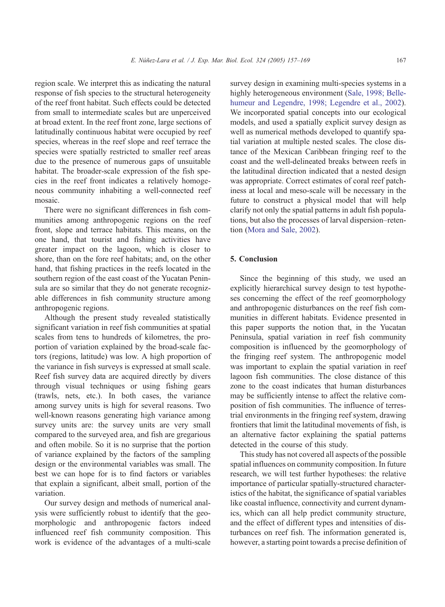region scale. We interpret this as indicating the natural response of fish species to the structural heterogeneity of the reef front habitat. Such effects could be detected from small to intermediate scales but are unperceived at broad extent. In the reef front zone, large sections of latitudinally continuous habitat were occupied by reef species, whereas in the reef slope and reef terrace the species were spatially restricted to smaller reef areas due to the presence of numerous gaps of unsuitable habitat. The broader-scale expression of the fish species in the reef front indicates a relatively homogeneous community inhabiting a well-connected reef mosaic.

There were no significant differences in fish communities among anthropogenic regions on the reef front, slope and terrace habitats. This means, on the one hand, that tourist and fishing activities have greater impact on the lagoon, which is closer to shore, than on the fore reef habitats; and, on the other hand, that fishing practices in the reefs located in the southern region of the east coast of the Yucatan Peninsula are so similar that they do not generate recognizable differences in fish community structure among anthropogenic regions.

Although the present study revealed statistically significant variation in reef fish communities at spatial scales from tens to hundreds of kilometres, the proportion of variation explained by the broad-scale factors (regions, latitude) was low. A high proportion of the variance in fish surveys is expressed at small scale. Reef fish survey data are acquired directly by divers through visual techniques or using fishing gears (trawls, nets, etc.). In both cases, the variance among survey units is high for several reasons. Two well-known reasons generating high variance among survey units are: the survey units are very small compared to the surveyed area, and fish are gregarious and often mobile. So it is no surprise that the portion of variance explained by the factors of the sampling design or the environmental variables was small. The best we can hope for is to find factors or variables that explain a significant, albeit small, portion of the variation.

Our survey design and methods of numerical analysis were sufficiently robust to identify that the geomorphologic and anthropogenic factors indeed influenced reef fish community composition. This work is evidence of the advantages of a multi-scale

survey design in examining multi-species systems in a highly heterogeneous environment ([Sale, 1998; Belle](#page-12-0)humeur and Legendre, 1998; Legendre et al., 2002). We incorporated spatial concepts into our ecological models, and used a spatially explicit survey design as well as numerical methods developed to quantify spatial variation at multiple nested scales. The close distance of the Mexican Caribbean fringing reef to the coast and the well-delineated breaks between reefs in the latitudinal direction indicated that a nested design was appropriate. Correct estimates of coral reef patchiness at local and meso-scale will be necessary in the future to construct a physical model that will help clarify not only the spatial patterns in adult fish populations, but also the processes of larval dispersion–retention ([Mora and Sale, 2002\)](#page-12-0).

# 5. Conclusion

Since the beginning of this study, we used an explicitly hierarchical survey design to test hypotheses concerning the effect of the reef geomorphology and anthropogenic disturbances on the reef fish communities in different habitats. Evidence presented in this paper supports the notion that, in the Yucatan Peninsula, spatial variation in reef fish community composition is influenced by the geomorphology of the fringing reef system. The anthropogenic model was important to explain the spatial variation in reef lagoon fish communities. The close distance of this zone to the coast indicates that human disturbances may be sufficiently intense to affect the relative composition of fish communities. The influence of terrestrial environments in the fringing reef system, drawing frontiers that limit the latitudinal movements of fish, is an alternative factor explaining the spatial patterns detected in the course of this study.

This study has not covered all aspects of the possible spatial influences on community composition. In future research, we will test further hypotheses: the relative importance of particular spatially-structured characteristics of the habitat, the significance of spatial variables like coastal influence, connectivity and current dynamics, which can all help predict community structure, and the effect of different types and intensities of disturbances on reef fish. The information generated is, however, a starting point towards a precise definition of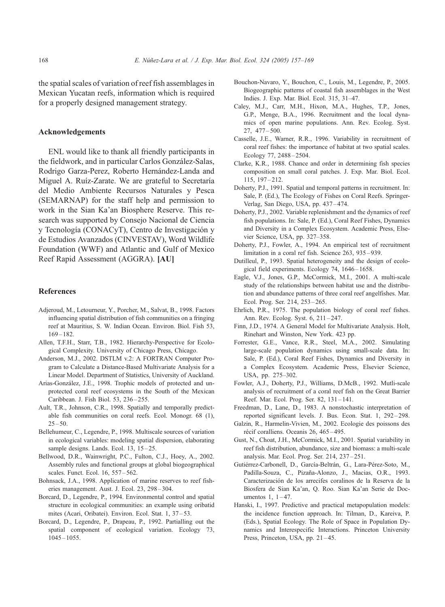<span id="page-11-0"></span>the spatial scales of variation of reef fish assemblages in Mexican Yucatan reefs, information which is required for a properly designed management strategy.

## Acknowledgements

ENL would like to thank all friendly participants in the fieldwork, and in particular Carlos González-Salas, Rodrigo Garza-Perez, Roberto Hernández-Landa and Miguel A. Ruíz-Zarate. We are grateful to Secretaría del Medio Ambiente Recursos Naturales y Pesca (SEMARNAP) for the staff help and permission to work in the Sian Ka'an Biosphere Reserve. This research was supported by Consejo Nacional de Ciencia y Tecnología (CONACyT), Centro de Investigación y de Estudios Avanzados (CINVESTAV), Word Wildlife Foundation (WWF) and Atlantic and Gulf of Mexico Reef Rapid Assessment (AGGRA). [AU]

# References

- Adjeroud, M., Letourneur, Y., Porcher, M., Salvat, B., 1998. Factors influencing spatial distribution of fish communities on a fringing reef at Mauritius, S. W. Indian Ocean. Environ. Biol. Fish 53,  $169 - 182.$
- Allen, T.F.H., Starr, T.B., 1982. Hierarchy-Perspective for Ecological Complexity. University of Chicago Press, Chicago.
- Anderson, M.J., 2002. DSTLM v.2: A FORTRAN Computer Program to Calculate a Distance-Based Multivariate Analysis for a Linear Model. Department of Statistics, University of Auckland.
- Arias-González, J.E., 1998. Trophic models of protected and unprotected coral reef ecosystems in the South of the Mexican Caribbean. J. Fish Biol. 53, 236 – 255.
- Ault, T.R., Johnson, C.R., 1998. Spatially and temporally predictable fish communities on coral reefs. Ecol. Monogr. 68 (1),  $25 - 50.$
- Bellehumeur, C., Legendre, P., 1998. Multiscale sources of variation in ecological variables: modeling spatial dispersion, elaborating sample designs. Lands. Ecol. 13, 15-25.
- Bellwood, D.R., Wainwright, P.C., Fulton, C.J., Hoey, A., 2002. Assembly rules and functional groups at global biogeographical scales. Funct. Ecol. 16, 557 – 562.
- Bohnsack, J.A., 1998. Application of marine reserves to reef fisheries management. Aust. J. Ecol. 23, 298 – 304.
- Borcard, D., Legendre, P., 1994. Environmental control and spatial structure in ecological communities: an example using oribatid mites (Acari, Oribatei). Environ. Ecol. Stat. 1, 37 – 53.
- Borcard, D., Legendre, P., Drapeau, P., 1992. Partialling out the spatial component of ecological variation. Ecology 73,  $1045 - 1055$ .
- Bouchon-Navaro, Y., Bouchon, C., Louis, M., Legendre, P., 2005. Biogeographic patterns of coastal fish assemblages in the West Indies. J. Exp. Mar. Biol. Ecol. 315, 31–47.
- Caley, M.J., Carr, M.H., Hixon, M.A., Hughes, T.P., Jones, G.P., Menge, B.A., 1996. Recruitment and the local dynamics of open marine populations. Ann. Rev. Ecolog. Syst. 27, 477 – 500.
- Casselle, J.E., Warner, R.R., 1996. Variability in recruitment of coral reef fishes: the importance of habitat at two spatial scales. Ecology 77, 2488 – 2504.
- Clarke, K.R., 1988. Chance and order in determining fish species composition on small coral patches. J. Exp. Mar. Biol. Ecol. 115, 197 – 212.
- Doherty, P.J., 1991. Spatial and temporal patterns in recruitment. In: Sale, P. (Ed.), The Ecology of Fishes on Coral Reefs. Springer-Verlag, San Diego, USA, pp. 437-474.
- Doherty, P.J., 2002. Variable replenishment and the dynamics of reef fish populations. In: Sale, P. (Ed.), Coral Reef Fishes, Dynamics and Diversity in a Complex Ecosystem. Academic Press, Elsevier Science, USA, pp. 327–358.
- Doherty, P.J., Fowler, A., 1994. An empirical test of recruitment limitation in a coral ref fish. Science 263, 935 – 939.
- Dutilleul, P., 1993. Spatial heterogeneity and the design of ecological field experiments. Ecology 74, 1646-1658.
- Eagle, V.J., Jones, G.P., McCormick, M.I., 2001. A multi-scale study of the relationships between habitat use and the distribution and abundance patterns of three coral reef angelfishes. Mar. Ecol. Prog. Ser. 214, 253-265.
- Ehrlich, P.R., 1975. The population biology of coral reef fishes. Ann. Rev. Ecolog. Syst. 6, 211-247.
- Finn, J.D., 1974. A General Model for Multivariate Analysis. Holt, Rinehart and Winston, New York. 423 pp.
- Forrester, G.E., Vance, R.R., Steel, M.A., 2002. Simulating large-scale population dynamics using small-scale data. In: Sale, P. (Ed.), Coral Reef Fishes, Dynamics and Diversity in a Complex Ecosystem. Academic Press, Elsevier Science, USA, pp. 275–302.
- Fowler, A.J., Doherty, P.J., Williams, D.McB., 1992. Mutli-scale analysis of recruitment of a coral reef fish on the Great Barrier Reef. Mar. Ecol. Prog. Ser. 82, 131-141.
- Freedman, D., Lane, D., 1983. A nonstochastic interpretation of reported significant levels. J. Bus. Econ. Stat. 1, 292 – 298.
- Galzin, R., Harmelin-Vivien, M., 2002. Ecologie des poissons des récif coralliens. Oceanis 26, 465-495.
- Gust, N., Choat, J.H., McCormick, M.I., 2001. Spatial variability in reef fish distribution, abundance, size and biomass: a multi-scale analysis. Mar. Ecol. Prog. Ser. 214, 237 – 251.
- Gutiérrez-Carbonell, D., García-Beltrán, G., Lara-Pérez-Soto, M., Padilla-Souza, C., Pizaña-Alonzo, J., Macias, O.R., 1993. Caracterización de los arrecifes coralinos de la Reserva de la Biosfera de Sian Ka'an, Q. Roo. Sian Ka'an Serie de Documentos 1,  $1 - 47$ .
- Hanski, I., 1997. Predictive and practical metapopulation models: the incidence function approach. In: Tilman, D., Kareiva, P. (Eds.), Spatial Ecology. The Role of Space in Population Dynamics and Interespecific Interactions. Princeton University Press, Princeton, USA, pp. 21-45.